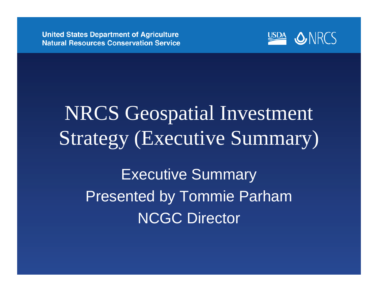

# NRCS Geospatial Investment Strategy (Executive Summary) Executive Summary Presented by Tommie Parham NCGC Director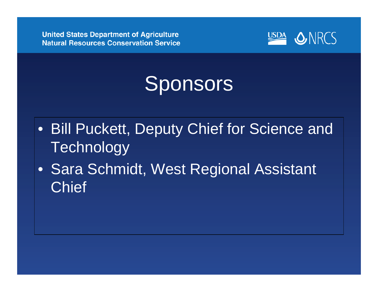

# Sponsors

- Bill Puckett, Deputy Chief for Science and **Technology**
- Sara Schmidt, West Regional Assistant **Chief**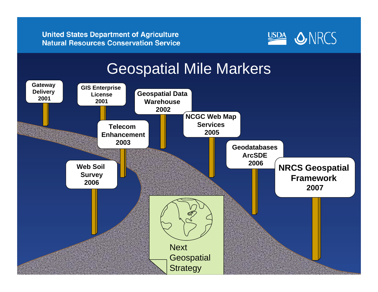

### Geospatial Mile Markers

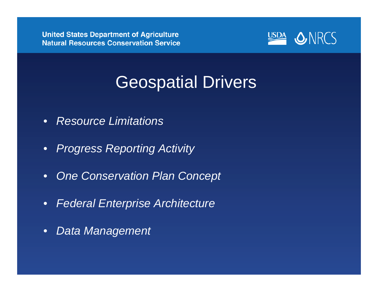

## Geospatial Drivers

- $\bullet$ *Resource Limitations*
- $\bullet$ *Progress Reporting Activity*
- $\bullet$ *One Conservation Plan Concept*
- $\bullet$ *Federal Enterprise Architecture*
- $\bullet$ *Data Management*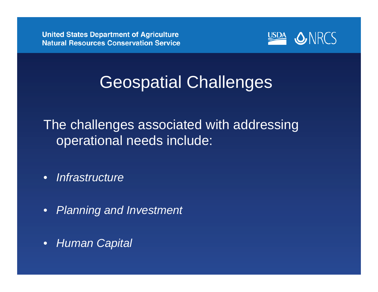

# Geospatial Challenges

The challenges associated with addressing operational needs include:

- $\bullet$ *Infrastructure*
- $\bullet$ *Planning and Investment*
- $\bullet$ *Human Capital*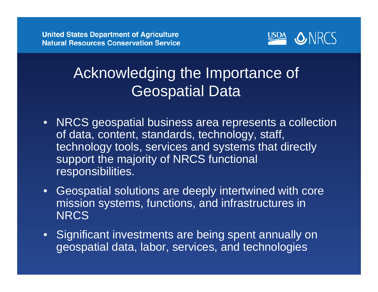

### Acknowledging the Importance of Geospatial Data

- $\bullet$  NRCS geospatial business area represents a collection of data, content, standards, technology, staff, technology tools, services and systems that directly support the majority of NRCS functional responsibilities.
- $\bullet$  Geospatial solutions are deeply intertwined with core mission systems, functions, and infrastructures in **NRCS**
- $\bullet$ Significant investments are being spent annually on geospatial data, labor, services, and technologies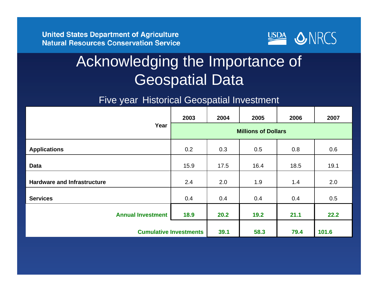

### Acknowledging the Importance of Geospatial Data

#### Five year Historical Geospatial Investment

|                                    | 2003                          | 2004 | 2005 | 2006 | 2007  |
|------------------------------------|-------------------------------|------|------|------|-------|
| Year                               | <b>Millions of Dollars</b>    |      |      |      |       |
| <b>Applications</b>                | 0.2                           | 0.3  | 0.5  | 0.8  | 0.6   |
| <b>Data</b>                        | 15.9                          | 17.5 | 16.4 | 18.5 | 19.1  |
| <b>Hardware and Infrastructure</b> | 2.4                           | 2.0  | 1.9  | 1.4  | 2.0   |
| <b>Services</b>                    | 0.4                           | 0.4  | 0.4  | 0.4  | 0.5   |
| <b>Annual Investment</b>           | 18.9                          | 20.2 | 19.2 | 21.1 | 22.2  |
|                                    | <b>Cumulative Investments</b> |      | 58.3 | 79.4 | 101.6 |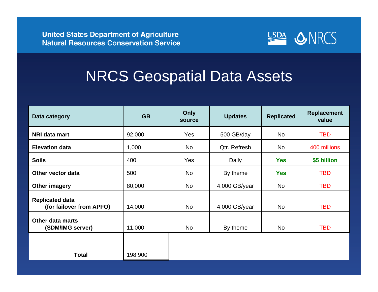

### NRCS Geospatial Data Assets

| Data category                                      | <b>GB</b> | Only<br>source | <b>Updates</b> | <b>Replicated</b> | <b>Replacement</b><br>value |
|----------------------------------------------------|-----------|----------------|----------------|-------------------|-----------------------------|
| NRI data mart                                      | 92,000    | Yes            | 500 GB/day     | <b>No</b>         | <b>TBD</b>                  |
| <b>Elevation data</b>                              | 1,000     | No             | Qtr. Refresh   | No                | 400 millions                |
| <b>Soils</b>                                       | 400       | Yes            | Daily          | <b>Yes</b>        | \$5 billion                 |
| Other vector data                                  | 500       | No             | By theme       | <b>Yes</b>        | <b>TBD</b>                  |
| Other imagery                                      | 80,000    | No             | 4,000 GB/year  | No                | <b>TBD</b>                  |
| <b>Replicated data</b><br>(for failover from APFO) | 14,000    | No             | 4,000 GB/year  | No                | <b>TBD</b>                  |
| <b>Other data marts</b><br>(SDM/IMG server)        | 11,000    | No             | By theme       | No                | <b>TBD</b>                  |
|                                                    |           |                |                |                   |                             |
| <b>Total</b>                                       | 198,900   |                |                |                   |                             |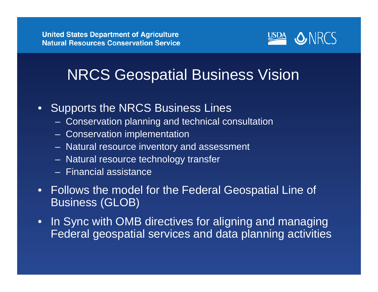

### NRCS Geospatial Business Vision

- $\bullet$ **Supports the NRCS Business Lines** 
	- Conservation planning and technical consultation
	- Conservation implementation
	- Natural resource inventory and assessment
	- Natural resource technology transfer
	- Financial assistance
- Follows the model for the Federal Geospatial Line of Business (GLOB)
- In Sync with OMB directives for aligning and managing Federal geospatial services and data planning activities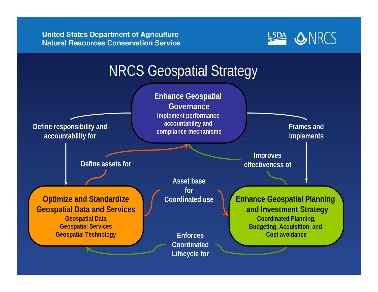**United States Department of Agriculture Natural Resources Conservation Service** 



### NRCS Geospatial Strategy

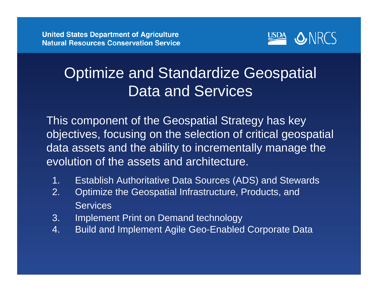

### Optimize and Standardize Geospatial Data and Services

This component of the Geospatial Strategy has key objectives, focusing on the selection of critical geospatial data assets and the ability to incrementally manage the evolution of the assets and architecture.

- 1. Establish Authoritative Data Sources (ADS) and Stewards
- 2. Optimize the Geospatial Infrastructure, Products, and **Services**
- 3. Implement Print on Demand technology
- 4. Build and Implement Agile Geo-Enabled Corporate Data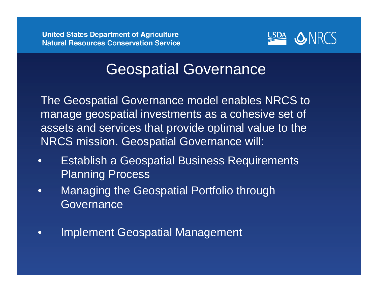

### Geospatial Governance

The Geospatial Governance model enables NRCS to manage geospatial investments as a cohesive set of assets and services that provide optimal value to the NRCS mission. Geospatial Governance will:

- $\bullet$  Establish a Geospatial Business Requirements Planning Process
- $\bullet$  Managing the Geospatial Portfolio through **Governance**
- $\bullet$ Implement Geospatial Management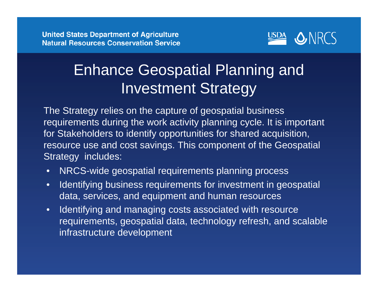

### Enhance Geospatial Planning and Investment Strategy

The Strategy relies on the capture of geospatial business requirements during the work activity planning cycle. It is important for Stakeholders to identify opportunities for shared acquisition, resource use and cost savings. This component of the Geospatial Strategy includes:

- •NRCS-wide geospatial requirements planning process
- • Identifying business requirements for investment in geospatial data, services, and equipment and human resources
- • Identifying and managing costs associated with resource requirements, geospatial data, technology refresh, and scalable infrastructure development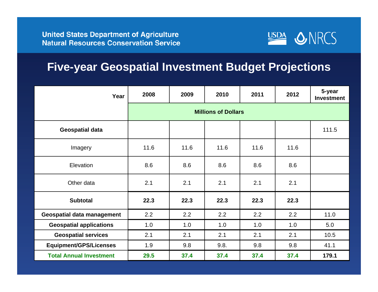

#### **Five-year Geospatial Investment Budget Projections**

| Year                              | 2008                       | 2009 | 2010 | 2011 | 2012 | 5-year<br><b>Investment</b> |  |  |
|-----------------------------------|----------------------------|------|------|------|------|-----------------------------|--|--|
|                                   | <b>Millions of Dollars</b> |      |      |      |      |                             |  |  |
| <b>Geospatial data</b>            |                            |      |      |      |      | 111.5                       |  |  |
| Imagery                           | 11.6                       | 11.6 | 11.6 | 11.6 | 11.6 |                             |  |  |
| Elevation                         | 8.6                        | 8.6  | 8.6  | 8.6  | 8.6  |                             |  |  |
| Other data                        | 2.1                        | 2.1  | 2.1  | 2.1  | 2.1  |                             |  |  |
| <b>Subtotal</b>                   | 22.3                       | 22.3 | 22.3 | 22.3 | 22.3 |                             |  |  |
| <b>Geospatial data management</b> | 2.2                        | 2.2  | 2.2  | 2.2  | 2.2  | 11.0                        |  |  |
| <b>Geospatial applications</b>    | 1.0                        | 1.0  | 1.0  | 1.0  | 1.0  | 5.0                         |  |  |
| <b>Geospatial services</b>        | 2.1                        | 2.1  | 2.1  | 2.1  | 2.1  | 10.5                        |  |  |
| <b>Equipment/GPS/Licenses</b>     | 1.9                        | 9.8  | 9.8. | 9.8  | 9.8  | 41.1                        |  |  |
| <b>Total Annual Investment</b>    | 29.5                       | 37.4 | 37.4 | 37.4 | 37.4 | 179.1                       |  |  |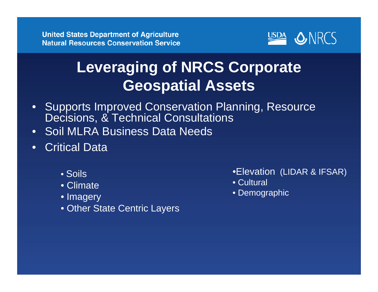

## **Leveraging of NRCS Corporate Geospatial Assets**

- $\bullet$  Supports Improved Conservation Planning, Resource Decisions, & Technical Consultations
- $\bullet$ Soil MLRA Business Data Needs
- $\bullet$  Critical Data
	- Soils
	- Climate
	- Imagery
	- Other State Centric Layers
- •Elevation (LIDAR & IFSAR)
- Cultural
- Demographic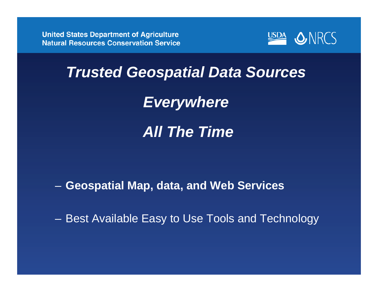

## *Trusted Geospatial Data Sources*

*Everywhere*

*All The Time*

**Geospatial Map, data, and Web Services**

Best Available Easy to Use Tools and Technology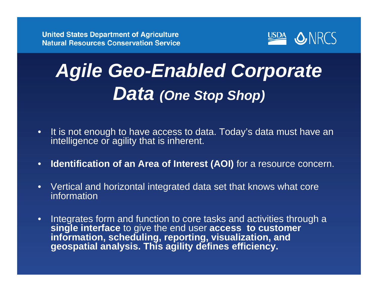

# *Agile Geo-Enabled Corporate Data (One Stop Shop)*

- $\bullet$  It is not enough to have access to data. Today's data must have an intelligence or agility that is inherent.
- $\bullet$ **Identification of an Area of Interest (AOI)** for a resource concern.
- $\bullet$  Vertical and horizontal integrated data set that knows what core information
- $\bullet$  Integrates form and function to core tasks and activities through a **single interface** to give the end user **access to customer information, scheduling, reporting, visualization, and geospatial analysis. This agility defines efficiency.**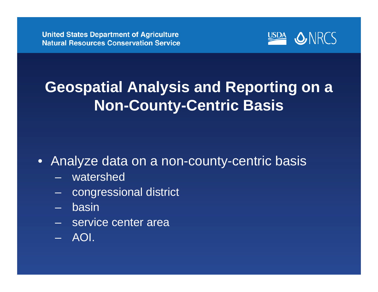

## **Geospatial Analysis and Reporting on a Non-County-Centric Basis**

• Analyze data on a non-county-centric basis

- watershed
- congressional district
- –basin
- service center area
- AOI.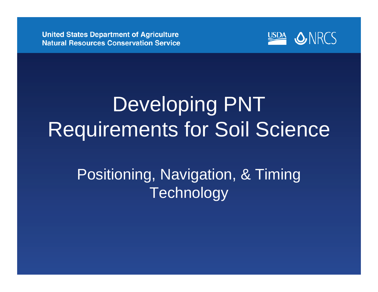

# Developing PNT Requirements for Soil Science

## Positioning, Navigation, & Timing **Technology**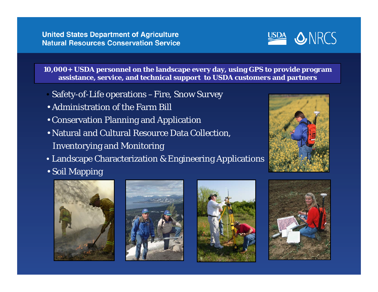

**10,000+ USDA personnel on the landscape every day, using GPS to provide program assistance, service, and technical support to USDA customers and partners**

- Safety-of-Life operations –Fire, Snow Survey
- Administration of the Farm Bill
- Conservation Planning and Application
- Natural and Cultural Resource Data Collection, Inventorying and Monitoring
- Landscape Characterization & Engineering Applications
- Soil Mapping









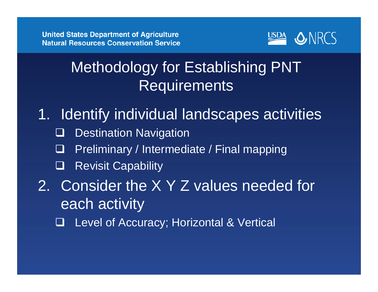

## Methodology for Establishing PNT Requirements

- 1. Identify individual landscapes activities
	- $\Box$ Destination Navigation
	- $\Box$ Preliminary / Intermediate / Final mapping
	- $\Box$ Revisit Capability
- 2. Consider the X Y Z values needed for each activity
	- $\Box$ Level of Accuracy; Horizontal & Vertical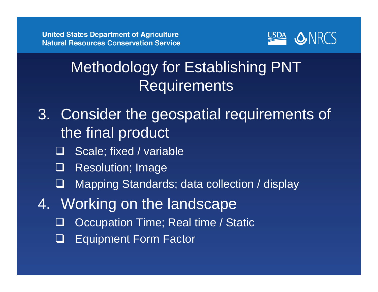

## Methodology for Establishing PNT **Requirements**

- 3. Consider the geospatial requirements of the final product
	- $\Box$ Scale; fixed / variable
	- $\Box$ Resolution; Image
	- $\Box$ Mapping Standards; data collection / display
- 4. Working on the landscape
	- $\Box$ **Occupation Time; Real time / Static**
	- $\Box$ Equipment Form Factor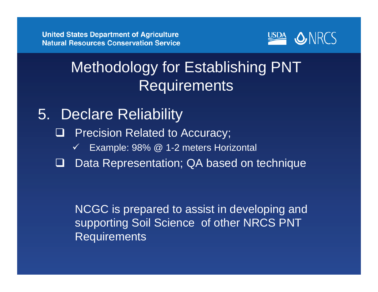

### Methodology for Establishing PNT **Requirements**

- 5. Declare Reliability
	- $\Box$  Precision Related to Accuracy;
		- $\checkmark$ Example: 98% @ 1-2 meters Horizontal
	- $\Box$ Data Representation; QA based on technique

NCGC is prepared to assist in developing and supporting Soil Science of other NRCS PNT **Requirements**